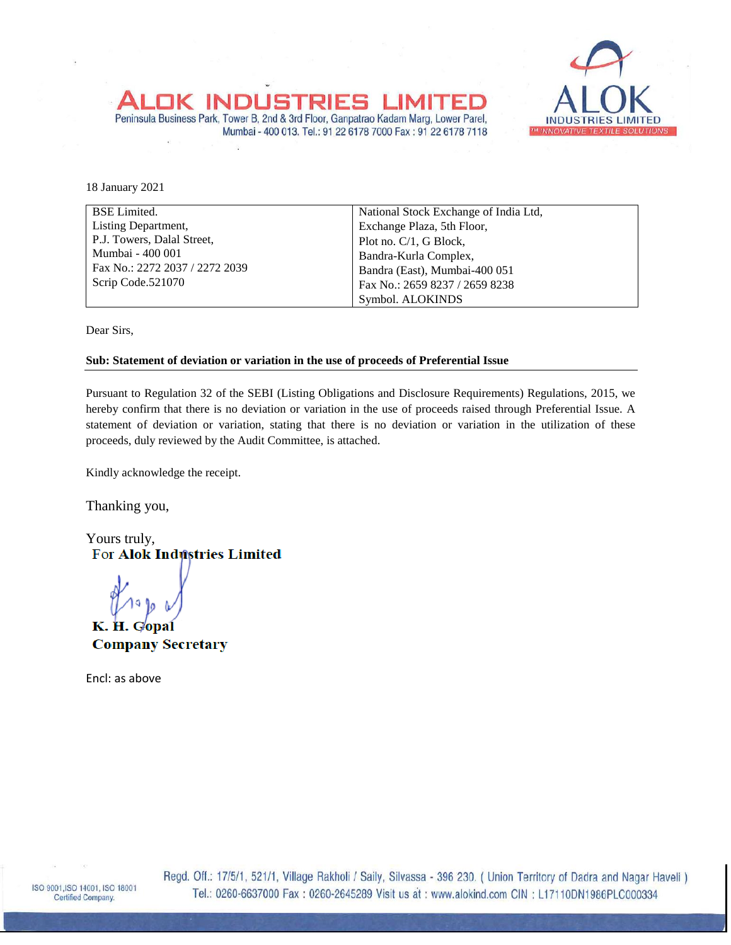

18 January 2021

| <b>BSE</b> Limited.            | National Stock Exchange of India Ltd, |  |  |  |
|--------------------------------|---------------------------------------|--|--|--|
| Listing Department,            | Exchange Plaza, 5th Floor,            |  |  |  |
| P.J. Towers, Dalal Street,     | Plot no. $C/1$ , G Block,             |  |  |  |
| Mumbai - 400 001               | Bandra-Kurla Complex,                 |  |  |  |
| Fax No.: 2272 2037 / 2272 2039 | Bandra (East), Mumbai-400 051         |  |  |  |
| Scrip Code.521070              | Fax No.: 2659 8237 / 2659 8238        |  |  |  |
|                                | Symbol. ALOKINDS                      |  |  |  |

Mumbai - 400 013. Tel.: 91 22 6178 7000 Fax: 91 22 6178 7118

Dear Sirs,

## **Sub: Statement of deviation or variation in the use of proceeds of Preferential Issue**

Peninsula Business Park, Tower B, 2nd & 3rd Floor, Ganpatrao Kadam Marg, Lower Parel,

INDLIS

Pursuant to Regulation 32 of the SEBI (Listing Obligations and Disclosure Requirements) Regulations, 2015, we hereby confirm that there is no deviation or variation in the use of proceeds raised through Preferential Issue. A statement of deviation or variation, stating that there is no deviation or variation in the utilization of these proceeds, duly reviewed by the Audit Committee, is attached.

Kindly acknowledge the receipt.

Thanking you,

Yours truly, **For Alok Industries Limited** 

K. H. Gopa **Company Secretary** 

Encl: as above